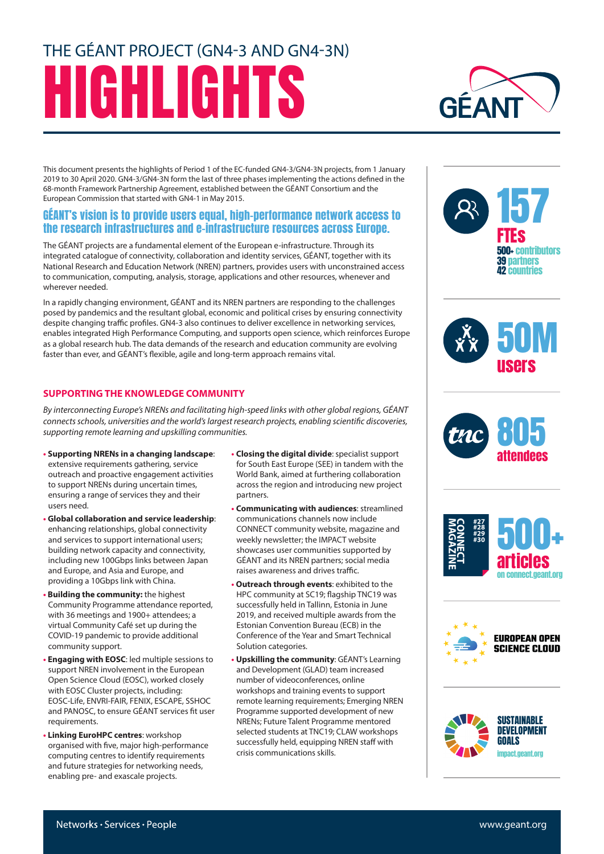# THE GÉANT PROJECT (GN4-3 AND GN4-3N) HIGHLIGHTS



This document presents the highlights of Period 1 of the EC-funded GN4-3/GN4-3N projects, from 1 January 2019 to 30 April 2020. GN4-3/GN4-3N form the last of three phases implementing the actions defined in the 68-month Framework Partnership Agreement, established between the GÉANT Consortium and the European Commission that started with GN4-1 in May 2015.

## GÉANT's vision is to provide users equal, high-performance network access to the research infrastructures and e-infrastructure resources across Europe.

The GÉANT projects are a fundamental element of the European e-infrastructure. Through its integrated catalogue of connectivity, collaboration and identity services, GÉANT, together with its National Research and Education Network (NREN) partners, provides users with unconstrained access to communication, computing, analysis, storage, applications and other resources, whenever and wherever needed.

In a rapidly changing environment, GÉANT and its NREN partners are responding to the challenges posed by pandemics and the resultant global, economic and political crises by ensuring connectivity despite changing traffic profiles. GN4-3 also continues to deliver excellence in networking services, enables integrated High Performance Computing, and supports open science, which reinforces Europe as a global research hub. The data demands of the research and education community are evolving faster than ever, and GÉANT's flexible, agile and long-term approach remains vital.

#### **SUPPORTING THE KNOWLEDGE COMMUNITY**

*By interconnecting Europe's NRENs and facilitating high-speed links with other global regions, GÉANT connects schools, universities and the world's largest research projects, enabling scientic discoveries, supporting remote learning and upskilling communities.*

- **Supporting NRENs in a changing landscape:** extensive requirements gathering, service outreach and proactive engagement activities to support NRENs during uncertain times, ensuring a range of services they and their users need.
- **• Global collaboration and service leadership**: enhancing relationships, global connectivity and services to support international users; building network capacity and connectivity, including new 100Gbps links between Japan and Europe, and Asia and Europe, and providing a 10Gbps link with China.
- **Building the community:** the highest Community Programme attendance reported, with 36 meetings and 1900+ attendees; a virtual Community Café set up during the COVID-19 pandemic to provide additional community support.
- **• Engaging with EOSC**: led multiple sessions to support NREN involvement in the European Open Science Cloud (EOSC), worked closely with EOSC Cluster projects, including: EOSC-Life, ENVRI-FAIR, FENIX, ESCAPE, SSHOC and PANOSC, to ensure GÉANT services fit user requirements.
- **• Linking EuroHPC centres**: workshop organised with five, major high-performance computing centres to identify requirements and future strategies for networking needs, enabling pre- and exascale projects.
- **• Closing the digital divide**: specialist support for South East Europe (SEE) in tandem with the World Bank, aimed at furthering collaboration across the region and introducing new project partners.
- **• Communicating with audiences**: streamlined communications channels now include CONNECT community website, magazine and weekly newsletter; the IMPACT website showcases user communities supported by GÉANT and its NREN partners; social media raises awareness and drives traffic
- **Outreach through events**: exhibited to the HPC community at SC19; flagship TNC19 was successfully held in Tallinn, Estonia in June 2019, and received multiple awards from the Estonian Convention Bureau (ECB) in the Conference of the Year and Smart Technical Solution categories.
- **• Upskilling the community**: GÉANT's Learning and Development (GLAD) team increased number of videoconferences, online workshops and training events to support remote learning requirements; Emerging NREN Programme supported development of new NRENs; Future Talent Programme mentored selected students at TNC19; CLAW workshops successfully held, equipping NREN staff with crisis communications skills. impact.geant.org/